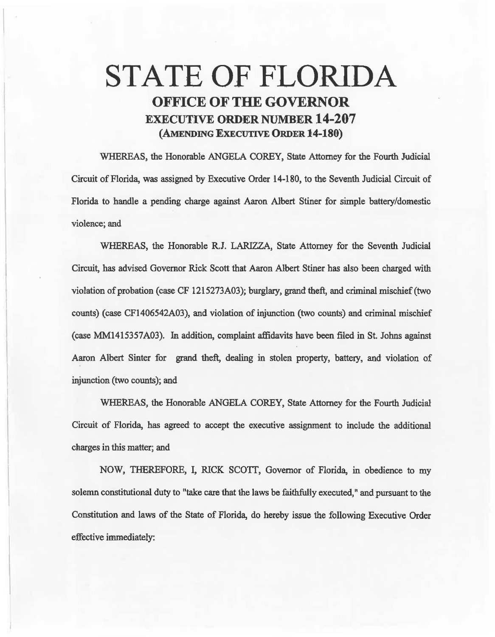## STATE OF FLORIDA OFFICE OF THE GOVERNOR EXECUTIVE ORDER NUMBER 14-207 (AMENDING EXECUTIVE ORDER 14-180)

WHEREAS, the Honorable ANGELA COREY, State Attomey for the Fourth Judicial Circuit of Florida, was assigned by Executive Order 14-180, to the Seventh Judicial Circuit of Florida to handle a pending charge against Aaron Albert Stiner for simple battery/domestic violence; and

WHEREAS, the Honorable R.J. LARIZZA, State Attorney for the Seventh Judicial Circuit, has advised Governor Rick Scott that Aaron Albert Stiner has also been charged with violation of probation (case CF 1215273A03); burglary, grand theft, and criminal mischief (two counts) (case CF1406542A03), and violation of injunction (two counts) and criminal mischief (case MM1415357A03). Jn addition, complamt affidavits have been filed in St. Johns against Aaron Albert Sinter for grand theft, dealing in stolen property, battery, and violation of injunction (two counts); and

WHEREAS, the Honorable ANGELA COREY, State Attorney for the Fourth Judicial Circuit of Florida, has agreed to accept the executive assignment to include the additional charges in this matter; and

NOW, THEREFORE, I, RICK SCOTT, Governor of Florida, in obedience to my solemn constitutional duty to "take care that the laws be faithfuliy executed," and pursuant to the Constitution and laws of the State of Florida, do hereby issue the following Executive Order effective immediately: